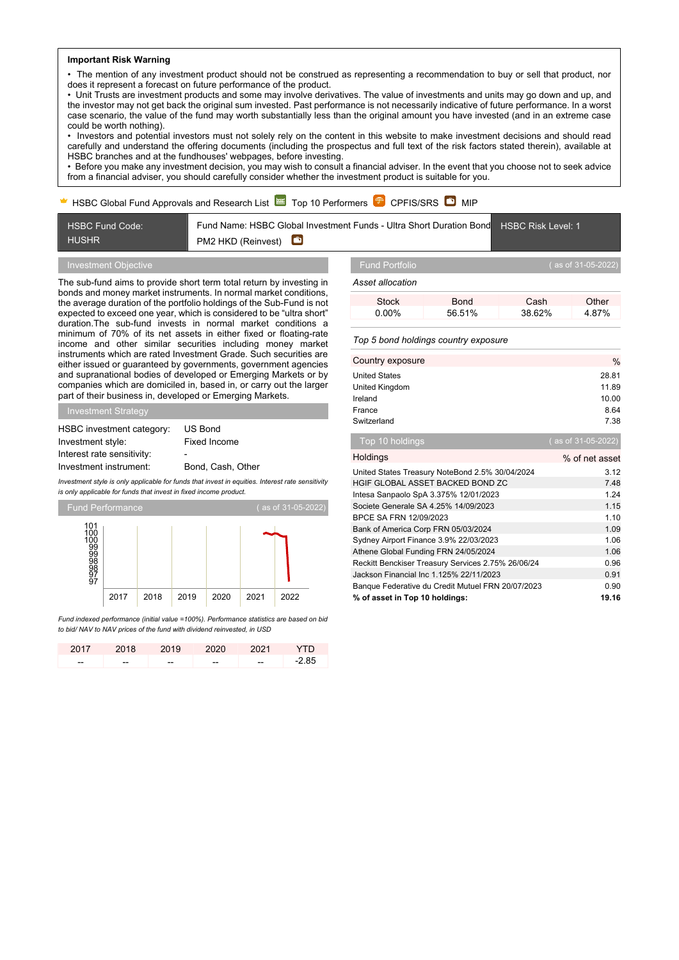## **Important Risk Warning**

• The mention of any investment product should not be construed as representing a recommendation to buy or sell that product, nor does it represent a forecast on future performance of the product.

• Unit Trusts are investment products and some may involve derivatives. The value of investments and units may go down and up, and the investor may not get back the original sum invested. Past performance is not necessarily indicative of future performance. In a worst case scenario, the value of the fund may worth substantially less than the original amount you have invested (and in an extreme case could be worth nothing).

• Investors and potential investors must not solely rely on the content in this website to make investment decisions and should read carefully and understand the offering documents (including the prospectus and full text of the risk factors stated therein), available at HSBC branches and at the fundhouses' webpages, before investing.

• Before you make any investment decision, you may wish to consult a financial adviser. In the event that you choose not to seek advice from a financial adviser, you should carefully consider whether the investment product is suitable for you.

# HSBC Global Fund Approvals and Research List  $\approx$  Top 10 Performers  $\mathbb{P}$  CPFIS/SRS  $\bullet$  MIP

Fund Name: HSBC Global Investment Funds - Ultra Short Duration Bond HSBC Fund Code: HSBC Risk Level: 1 HUSHR  $\bullet$ PM2 HKD (Reinvest)

The sub-fund aims to provide short term total return by investing in bonds and money market instruments. In normal market conditions, the average duration of the portfolio holdings of the Sub-Fund is not expected to exceed one year, which is considered to be "ultra short" duration.The sub-fund invests in normal market conditions a minimum of 70% of its net assets in either fixed or floating-rate income and other similar securities including money market instruments which are rated Investment Grade. Such securities are either issued or guaranteed by governments, government agencies and supranational bodies of developed or Emerging Markets or by companies which are domiciled in, based in, or carry out the larger part of their business in, developed or Emerging Markets.

Investment Strategy

| HSBC investment category:  | US Bond           |
|----------------------------|-------------------|
| Investment style:          | Fixed Income      |
| Interest rate sensitivity: | ٠                 |
| Investment instrument:     | Bond, Cash, Other |

*Investment style is only applicable for funds that invest in equities. Interest rate sensitivity is only applicable for funds that invest in fixed income product.*



*Fund indexed performance (initial value =100%). Performance statistics are based on bid to bid/ NAV to NAV prices of the fund with dividend reinvested, in USD*

|       | 2017 2018 2019 |       | 2020 2021 |       | - YTD   |
|-------|----------------|-------|-----------|-------|---------|
| $- -$ | $- -$          | $- -$ | --        | $- -$ | $-2.85$ |

*Asset allocation*

| Stock | Bond   | Cash   | Other |
|-------|--------|--------|-------|
| 0.00% | 56 51% | 38.62% | 4.87% |
|       |        |        |       |

### *Top 5 bond holdings country exposure*

| Country exposure                                   | $\%$               |
|----------------------------------------------------|--------------------|
| <b>United States</b>                               | 28.81              |
| United Kingdom                                     | 11.89              |
| Ireland                                            | 10.00              |
| France                                             | 8.64               |
| Switzerland                                        | 7.38               |
| Top 10 holdings                                    | (as of 31-05-2022) |
| Holdings                                           | % of net asset     |
| United States Treasury NoteBond 2.5% 30/04/2024    | 3.12               |
| HGIF GLOBAL ASSET BACKED BOND ZC                   | 7.48               |
| Intesa Sanpaolo SpA 3.375% 12/01/2023              | 1.24               |
| Societe Generale SA 4.25% 14/09/2023               | 1.15               |
| BPCE SA FRN 12/09/2023                             | 1.10               |
| Bank of America Corp FRN 05/03/2024                | 1.09               |
| Sydney Airport Finance 3.9% 22/03/2023             | 1.06               |
| Athene Global Funding FRN 24/05/2024               | 1.06               |
| Reckitt Benckiser Treasury Services 2.75% 26/06/24 | 0.96               |
| Jackson Financial Inc 1.125% 22/11/2023            | 0.91               |
| Banque Federative du Credit Mutuel FRN 20/07/2023  | 0.90               |
| % of asset in Top 10 holdings:                     | 19.16              |